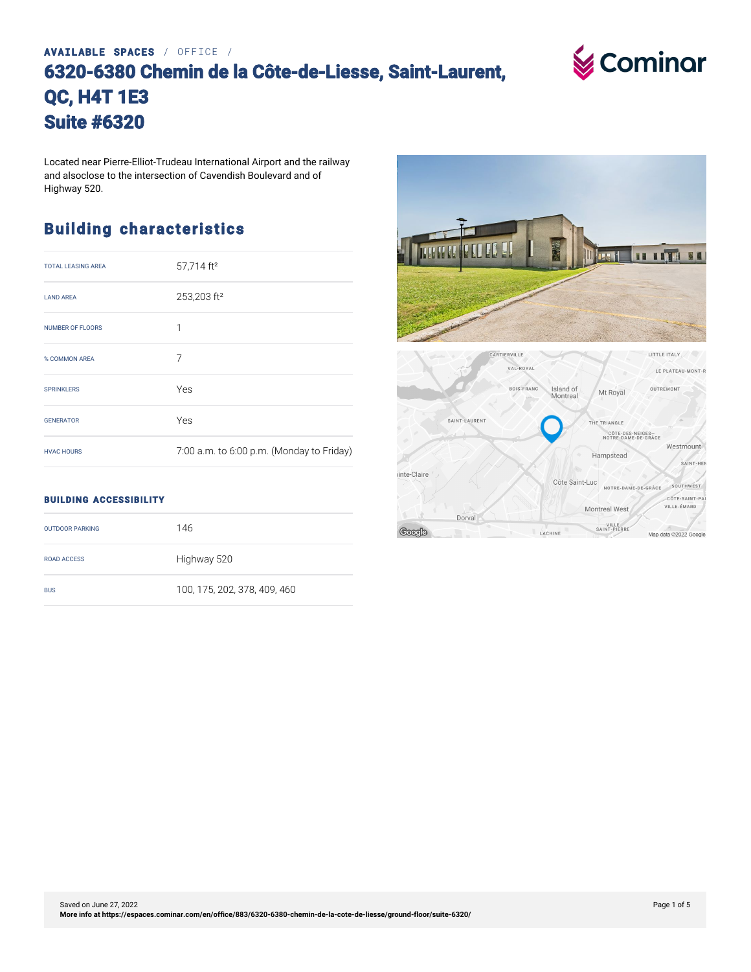## **AVAILABLE SPACES** / OFFICE / **6320-6380 Chemin de la Côte-de-Liesse, Saint-Laurent, QC, H4T 1E3 Suite #6320**



Located near Pierre-Elliot-Trudeau International Airport and the railway and alsoclose to the intersection of Cavendish Boulevard and of Highway 520.

### **Building characteristics**

| <b>TOTAL LEASING AREA</b> | 57,714 ft <sup>2</sup>                    |
|---------------------------|-------------------------------------------|
| <b>LAND ARFA</b>          | 253,203 ft <sup>2</sup>                   |
| <b>NUMBER OF FLOORS</b>   | 1                                         |
| % COMMON AREA             | 7                                         |
| <b>SPRINKLERS</b>         | Yes                                       |
| <b>GENERATOR</b>          | Yes                                       |
| <b>HVAC HOURS</b>         | 7:00 a.m. to 6:00 p.m. (Monday to Friday) |



#### **BUILDING ACCESSIBILITY**

| <b>OUTDOOR PARKING</b> | 146                          |
|------------------------|------------------------------|
| <b>ROAD ACCESS</b>     | Highway 520                  |
| <b>BUS</b>             | 100, 175, 202, 378, 409, 460 |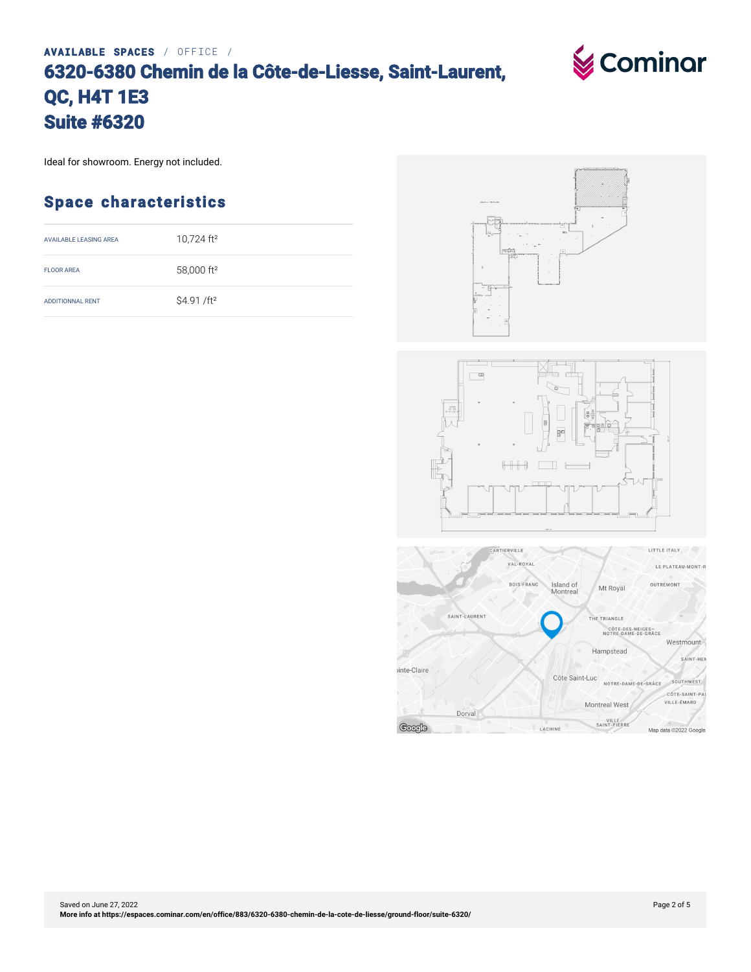# **AVAILABLE SPACES** / OFFICE / **6320-6380 Chemin de la Côte-de-Liesse, Saint-Laurent, QC, H4T 1E3 Suite #6320**

Ideal for showroom. Energy not included.

#### **Space characteristics**

| AVAILABLE LEASING AREA  | 10,724 ft <sup>2</sup>  |
|-------------------------|-------------------------|
| <b>FLOOR AREA</b>       | 58,000 ft <sup>2</sup>  |
| <b>ADDITIONNAL RENT</b> | \$4.91 /ft <sup>2</sup> |







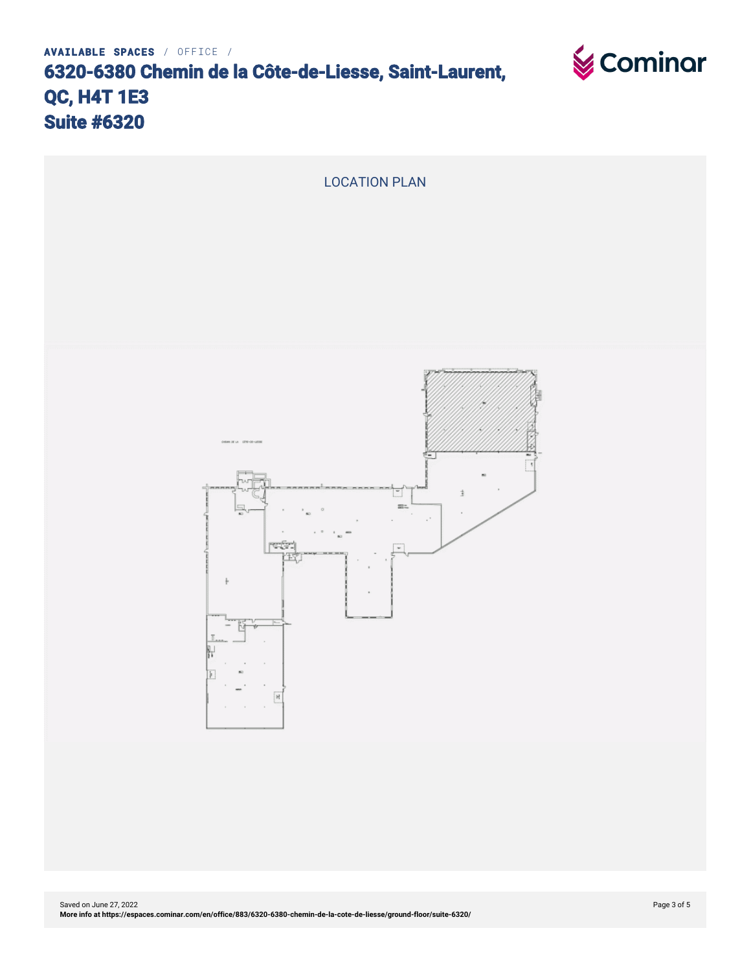

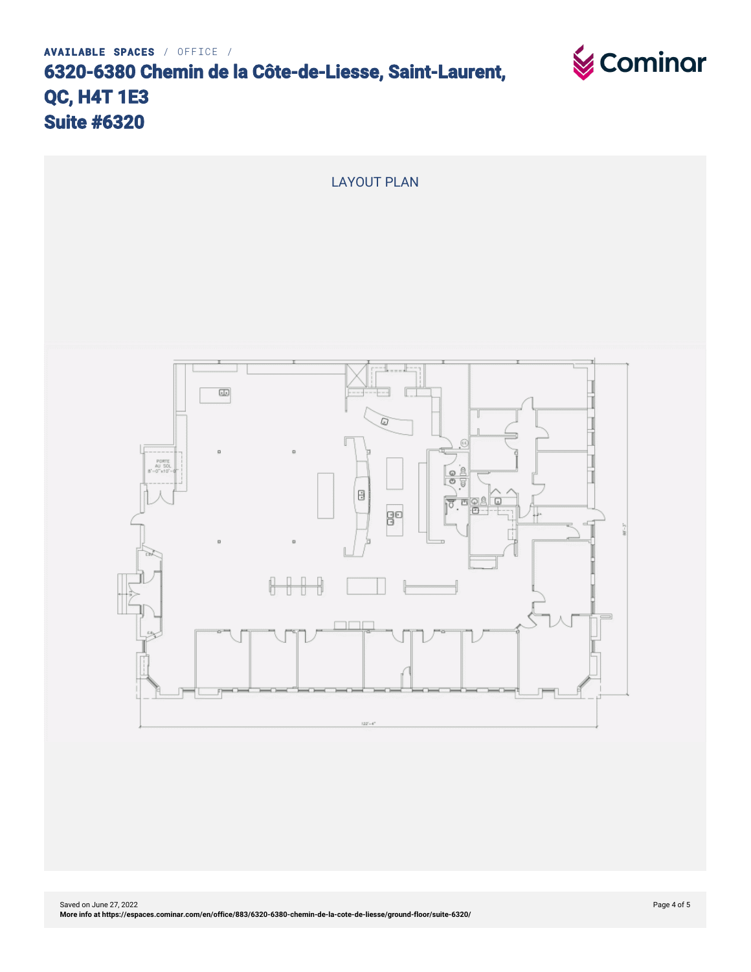